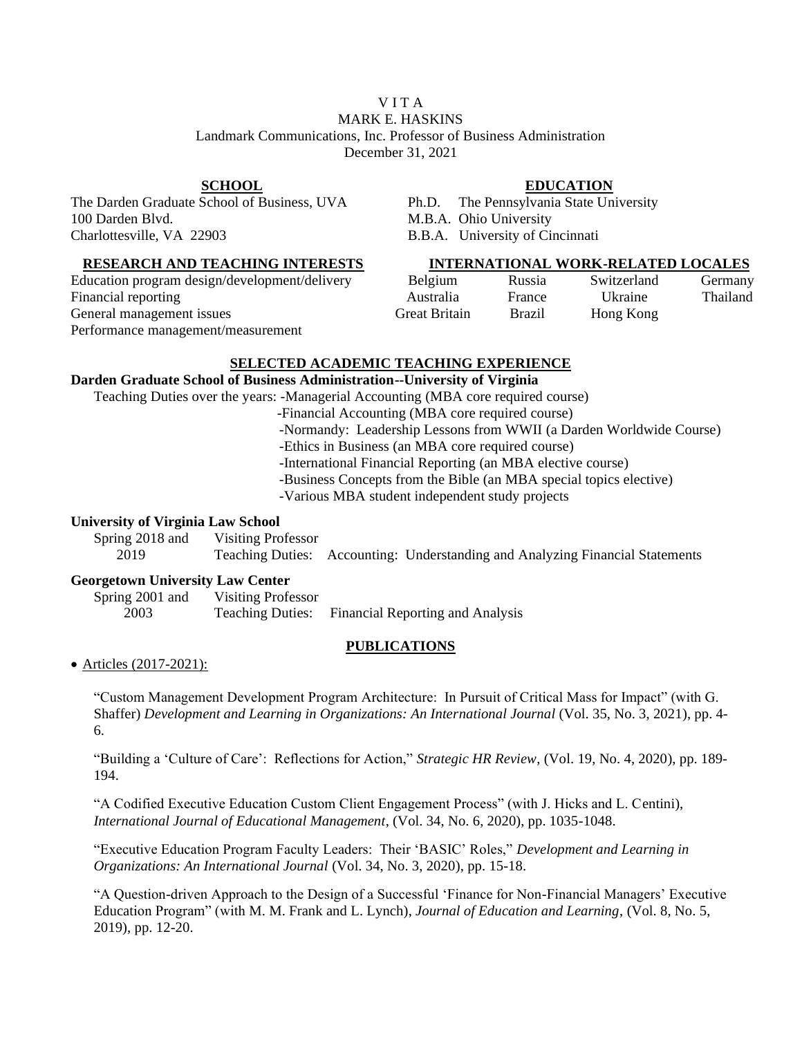## V I T A MARK E. HASKINS Landmark Communications, Inc. Professor of Business Administration December 31, 2021

The Darden Graduate School of Business, UVA Ph.D. The Pennsylvania State University 100 Darden Blvd. M.B.A. Ohio University Charlottesville, VA 22903 B.B.A. University of Cincinnati

Education program design/development/delivery Belgium Russia Switzerland Germany<br>Financial reporting Australia Hastralia Hastralia (Ikraine Thailand Financial reporting Thailands and Australia France Ukraine General management issues Great Britain Brazil Hong Kong Performance management/measurement

# **SCHOOL EDUCATION**

## **RESEARCH AND TEACHING INTERESTS INTERNATIONAL WORK-RELATED LOCALES**

### **SELECTED ACADEMIC TEACHING EXPERIENCE**

#### **Darden Graduate School of Business Administration--University of Virginia**

Teaching Duties over the years: -Managerial Accounting (MBA core required course)

-Financial Accounting (MBA core required course)

- -Normandy: Leadership Lessons from WWII (a Darden Worldwide Course)
- -Ethics in Business (an MBA core required course)

-International Financial Reporting (an MBA elective course)

-Business Concepts from the Bible (an MBA special topics elective)

-Various MBA student independent study projects

### **University of Virginia Law School**

Spring 2018 and Visiting Professor

2019 Teaching Duties: Accounting: Understanding and Analyzing Financial Statements

#### **Georgetown University Law Center**

Spring 2001 and Visiting Professor 2003 Teaching Duties: Financial Reporting and Analysis

#### **PUBLICATIONS**

• Articles (2017-2021):

"Custom Management Development Program Architecture: In Pursuit of Critical Mass for Impact" (with G. Shaffer) *Development and Learning in Organizations: An International Journal* (Vol. 35, No. 3, 2021), pp. 4- 6.

"Building a 'Culture of Care': Reflections for Action," *Strategic HR Review*, (Vol. 19, No. 4, 2020), pp. 189- 194.

"A Codified Executive Education Custom Client Engagement Process" (with J. Hicks and L. Centini), *International Journal of Educational Management*, (Vol. 34, No. 6, 2020), pp. 1035-1048.

"Executive Education Program Faculty Leaders: Their 'BASIC' Roles," *Development and Learning in Organizations: An International Journal* (Vol. 34, No. 3, 2020), pp. 15-18.

"A Question-driven Approach to the Design of a Successful 'Finance for Non-Financial Managers' Executive Education Program" (with M. M. Frank and L. Lynch), *Journal of Education and Learning*, (Vol. 8, No. 5, 2019), pp. 12-20.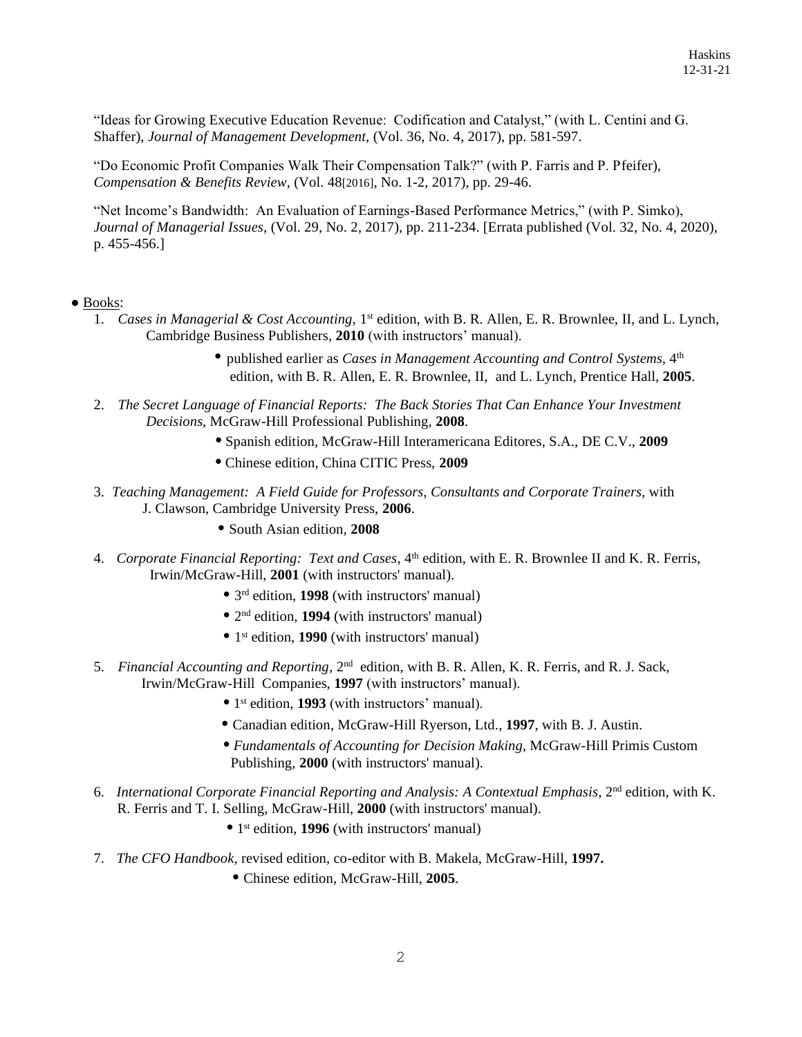"Ideas for Growing Executive Education Revenue: Codification and Catalyst," (with L. Centini and G. Shaffer), *Journal of Management Development,* (Vol. 36, No. 4, 2017), pp. 581-597.

"Do Economic Profit Companies Walk Their Compensation Talk?" (with P. Farris and P. Pfeifer), *Compensation & Benefits Review*, (Vol. 48[2016], No. 1-2, 2017), pp. 29-46.

"Net Income's Bandwidth: An Evaluation of Earnings-Based Performance Metrics," (with P. Simko), *Journal of Managerial Issues,* (Vol. 29, No. 2, 2017), pp. 211-234. [Errata published (Vol. 32, No. 4, 2020), p. 455-456.]

### ● Books:

- 1. Cases in Managerial & Cost Accounting, 1<sup>st</sup> edition, with B. R. Allen, E. R. Brownlee, II, and L. Lynch, Cambridge Business Publishers, **2010** (with instructors' manual).
	- published earlier as *Cases in Management Accounting and Control Systems,* <sup>4</sup> th edition, with B. R. Allen, E. R. Brownlee, II, and L. Lynch*,* Prentice Hall, **2005**.
- 2. *The Secret Language of Financial Reports: The Back Stories That Can Enhance Your Investment Decisions*, McGraw-Hill Professional Publishing, **2008**.
	- **•** Spanish edition, McGraw-Hill Interamericana Editores, S.A., DE C.V., **2009**
	- **•** Chinese edition, China CITIC Press, **2009**
- 3. *Teaching Management: A Field Guide for Professors, Consultants and Corporate Trainers,* with J. Clawson, Cambridge University Press, **2006**.
	- **•** South Asian edition, **2008**
- 4. *Corporate Financial Reporting: Text and Cases*, 4<sup>th</sup> edition, with E. R. Brownlee II and K. R. Ferris, Irwin/McGraw-Hill, **2001** (with instructors' manual).
- **•** 3 rd edition, **1998** (with instructors' manual)
- 2<sup>nd</sup> edition, **1994** (with instructors' manual)
- **•** 1 st edition, **1990** (with instructors' manual)
- 5. *Financial Accounting and Reporting*, 2nd edition, with B. R. Allen, K. R. Ferris, and R. J. Sack, Irwin/McGraw-Hill Companies, **1997** (with instructors' manual).
- **•** 1 • 1<sup>st</sup> edition, **1993** (with instructors' manual).
	- **•** Canadian edition, McGraw-Hill Ryerson, Ltd., **1997**, with B. J. Austin.
	- **•** *Fundamentals of Accounting for Decision Making,* McGraw-Hill Primis Custom Publishing, **2000** (with instructors' manual).
- 6. International Corporate Financial Reporting and Analysis: A Contextual Emphasis, 2<sup>nd</sup> edition, with K. R. Ferris and T. I. Selling, McGraw-Hill, **2000** (with instructors' manual).
- **•** 1 • 1<sup>st</sup> edition, **1996** (with instructors' manual)
- 7. *The CFO Handbook*, revised edition, co-editor with B. Makela, McGraw-Hill, **1997.**
	- **•** Chinese edition, McGraw-Hill, **2005**.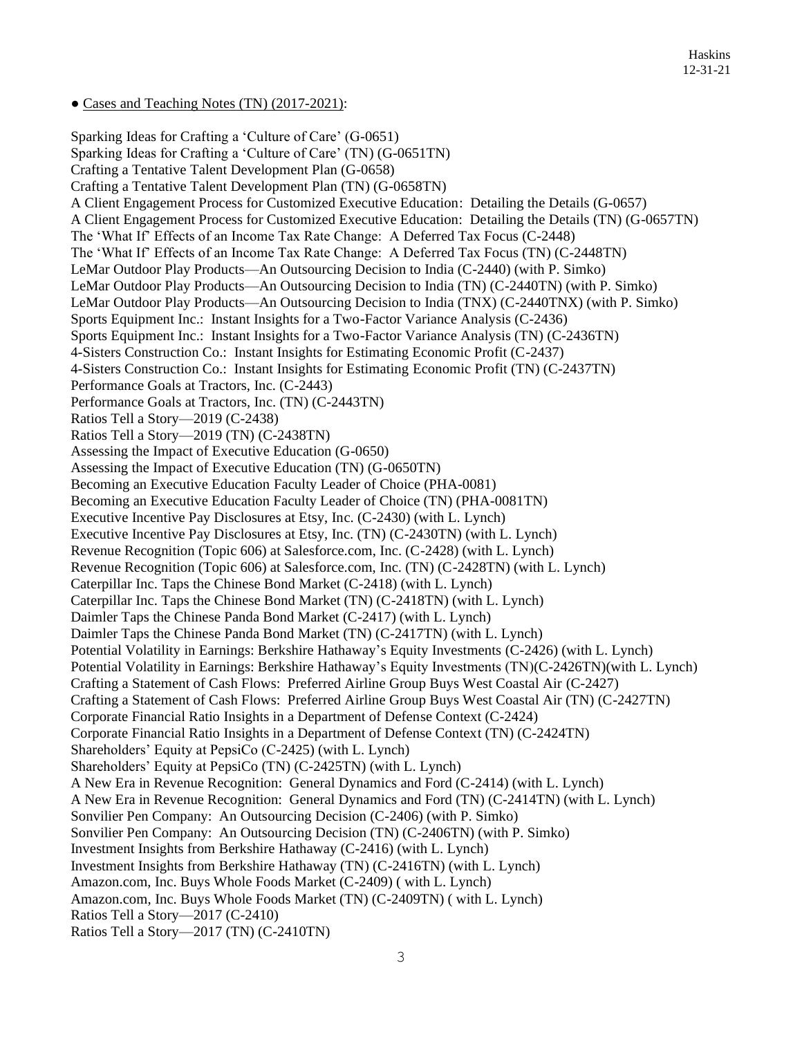• Cases and Teaching Notes (TN) (2017-2021):

Sparking Ideas for Crafting a 'Culture of Care' (G-0651) Sparking Ideas for Crafting a 'Culture of Care' (TN) (G-0651TN) Crafting a Tentative Talent Development Plan (G-0658) Crafting a Tentative Talent Development Plan (TN) (G-0658TN) A Client Engagement Process for Customized Executive Education: Detailing the Details (G-0657) A Client Engagement Process for Customized Executive Education: Detailing the Details (TN) (G-0657TN) The 'What If' Effects of an Income Tax Rate Change: A Deferred Tax Focus (C-2448) The 'What If' Effects of an Income Tax Rate Change: A Deferred Tax Focus (TN) (C-2448TN) LeMar Outdoor Play Products—An Outsourcing Decision to India (C-2440) (with P. Simko) LeMar Outdoor Play Products—An Outsourcing Decision to India (TN) (C-2440TN) (with P. Simko) LeMar Outdoor Play Products—An Outsourcing Decision to India (TNX) (C-2440TNX) (with P. Simko) Sports Equipment Inc.: Instant Insights for a Two-Factor Variance Analysis (C-2436) Sports Equipment Inc.: Instant Insights for a Two-Factor Variance Analysis (TN) (C-2436TN) 4-Sisters Construction Co.: Instant Insights for Estimating Economic Profit (C-2437) 4-Sisters Construction Co.: Instant Insights for Estimating Economic Profit (TN) (C-2437TN) Performance Goals at Tractors, Inc. (C-2443) Performance Goals at Tractors, Inc. (TN) (C-2443TN) Ratios Tell a Story—2019 (C-2438) Ratios Tell a Story—2019 (TN) (C-2438TN) Assessing the Impact of Executive Education (G-0650) Assessing the Impact of Executive Education (TN) (G-0650TN) Becoming an Executive Education Faculty Leader of Choice (PHA-0081) Becoming an Executive Education Faculty Leader of Choice (TN) (PHA-0081TN) Executive Incentive Pay Disclosures at Etsy, Inc. (C-2430) (with L. Lynch) Executive Incentive Pay Disclosures at Etsy, Inc. (TN) (C-2430TN) (with L. Lynch) Revenue Recognition (Topic 606) at Salesforce.com, Inc. (C-2428) (with L. Lynch) Revenue Recognition (Topic 606) at Salesforce.com, Inc. (TN) (C-2428TN) (with L. Lynch) Caterpillar Inc. Taps the Chinese Bond Market (C-2418) (with L. Lynch) Caterpillar Inc. Taps the Chinese Bond Market (TN) (C-2418TN) (with L. Lynch) Daimler Taps the Chinese Panda Bond Market (C-2417) (with L. Lynch) Daimler Taps the Chinese Panda Bond Market (TN) (C-2417TN) (with L. Lynch) Potential Volatility in Earnings: Berkshire Hathaway's Equity Investments (C-2426) (with L. Lynch) Potential Volatility in Earnings: Berkshire Hathaway's Equity Investments (TN)(C-2426TN)(with L. Lynch) Crafting a Statement of Cash Flows: Preferred Airline Group Buys West Coastal Air (C-2427) Crafting a Statement of Cash Flows: Preferred Airline Group Buys West Coastal Air (TN) (C-2427TN) Corporate Financial Ratio Insights in a Department of Defense Context (C-2424) Corporate Financial Ratio Insights in a Department of Defense Context (TN) (C-2424TN) Shareholders' Equity at PepsiCo (C-2425) (with L. Lynch) Shareholders' Equity at PepsiCo (TN) (C-2425TN) (with L. Lynch) A New Era in Revenue Recognition: General Dynamics and Ford (C-2414) (with L. Lynch) A New Era in Revenue Recognition: General Dynamics and Ford (TN) (C-2414TN) (with L. Lynch) Sonvilier Pen Company: An Outsourcing Decision (C-2406) (with P. Simko) Sonvilier Pen Company: An Outsourcing Decision (TN) (C-2406TN) (with P. Simko) Investment Insights from Berkshire Hathaway (C-2416) (with L. Lynch) Investment Insights from Berkshire Hathaway (TN) (C-2416TN) (with L. Lynch) Amazon.com, Inc. Buys Whole Foods Market (C-2409) ( with L. Lynch) Amazon.com, Inc. Buys Whole Foods Market (TN) (C-2409TN) ( with L. Lynch) Ratios Tell a Story—2017 (C-2410) Ratios Tell a Story—2017 (TN) (C-2410TN)